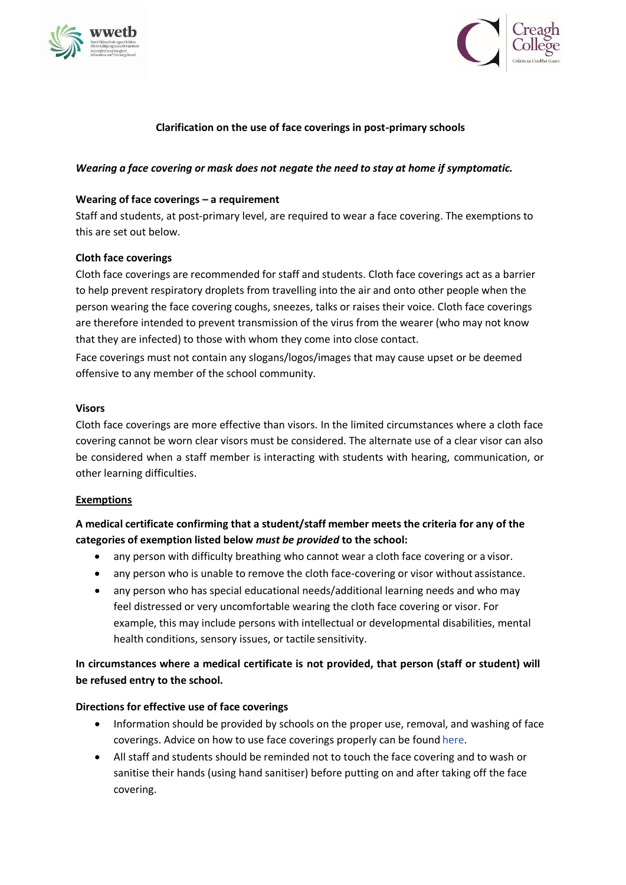



## **Clarification on the use of face coverings in post-primary schools**

## *Wearing a face covering or mask does not negate the need to stay at home if symptomatic.*

## **Wearing of face coverings – a requirement**

Staff and students, at post-primary level, are required to wear a face covering. The exemptions to this are set out below.

## **Cloth face coverings**

Cloth face coverings are recommended for staff and students. Cloth face coverings act as a barrier to help prevent respiratory droplets from travelling into the air and onto other people when the person wearing the face covering coughs, sneezes, talks or raises their voice. Cloth face coverings are therefore intended to prevent transmission of the virus from the wearer (who may not know that they are infected) to those with whom they come into close contact.

Face coverings must not contain any slogans/logos/images that may cause upset or be deemed offensive to any member of the school community.

#### **Visors**

Cloth face coverings are more effective than visors. In the limited circumstances where a cloth face covering cannot be worn clear visors must be considered. The alternate use of a clear visor can also be considered when a staff member is interacting with students with hearing, communication, or other learning difficulties.

#### **Exemptions**

# **A medical certificate confirming that a student/staff member meets the criteria for any of the categories of exemption listed below** *must be provided* **to the school:**

- any person with difficulty breathing who cannot wear a cloth face covering or a visor.
- any person who is unable to remove the cloth face-covering or visor without assistance.
- any person who has special educational needs/additional learning needs and who may feel distressed or very uncomfortable wearing the cloth face covering or visor. For example, this may include persons with intellectual or developmental disabilities, mental health conditions, sensory issues, or tactile sensitivity.

# **In circumstances where a medical certificate is not provided, that person (staff or student) will be refused entry to the school.**

## **Directions for effective use of face coverings**

- Information should be provided by schools on the proper use, removal, and washing of face coverings. Advice on how to use face coverings properly can be found [here.](https://www.gov.ie/en/publication/aac74c-guidance-on-safe-use-of-face-coverings/)
- All staff and students should be reminded not to touch the face covering and to wash or sanitise their hands (using hand sanitiser) before putting on and after taking off the face covering.